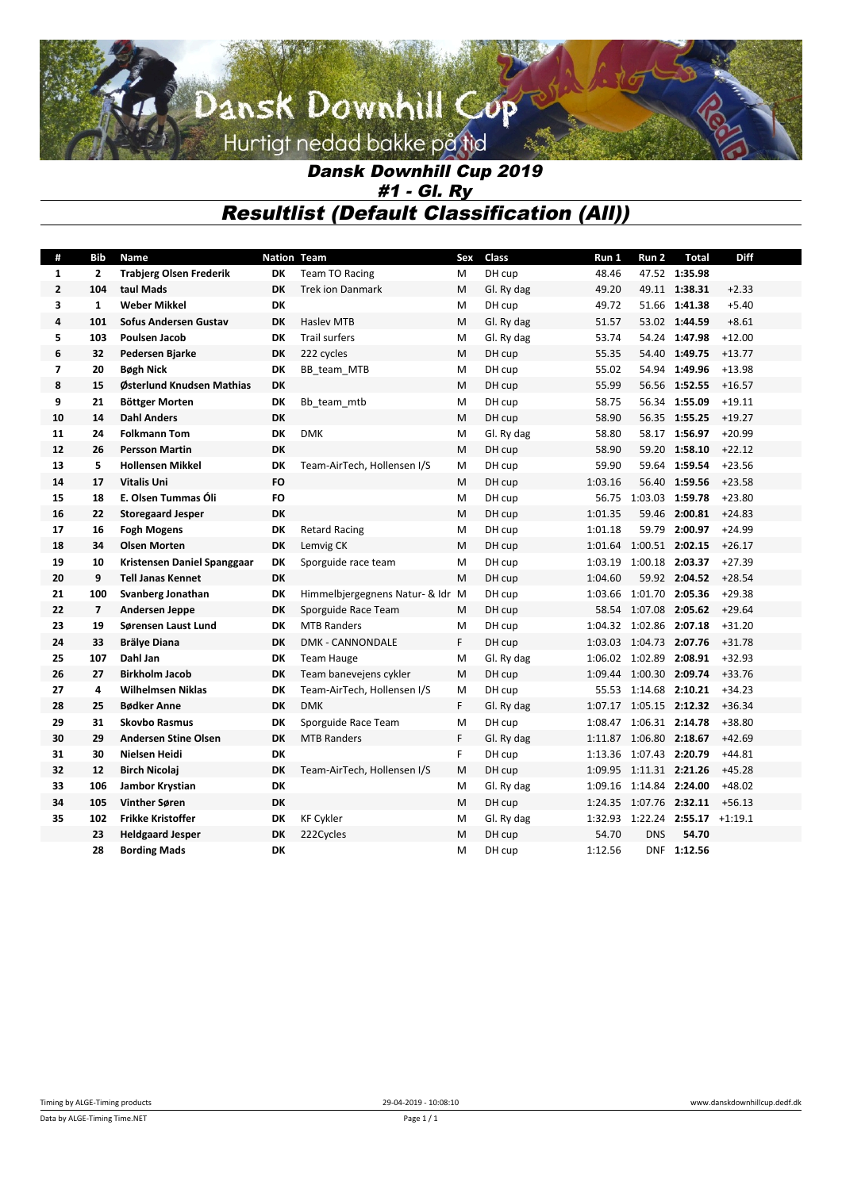# Dansk Downhill Cup Hurtigt nedad bakke på tid

### *Dansk Downhill Cup 2019 #1 - Gl. Ry Resultlist (Default Classification (All))*

| #              | Bib            | <b>Name</b>                    | <b>Nation Team</b> |                                  |    | Class      | Run 1   | Run 2                   | <b>Total</b>                    | Diff     |
|----------------|----------------|--------------------------------|--------------------|----------------------------------|----|------------|---------|-------------------------|---------------------------------|----------|
| $\mathbf{1}$   | 2              | <b>Trabjerg Olsen Frederik</b> | DK                 | <b>Team TO Racing</b>            | M  | DH cup     | 48.46   |                         | 47.52 1:35.98                   |          |
| $\overline{2}$ | 104            | taul Mads                      | <b>DK</b>          | <b>Trek ion Danmark</b>          | M  | Gl. Ry dag | 49.20   |                         | 49.11 1:38.31                   | $+2.33$  |
| 3              | $\mathbf{1}$   | <b>Weber Mikkel</b>            | DK                 |                                  | M  | DH cup     | 49.72   |                         | 51.66 1:41.38                   | $+5.40$  |
| 4              | 101            | <b>Sofus Andersen Gustav</b>   | <b>DK</b>          | <b>Hasley MTB</b>                | M  | Gl. Ry dag | 51.57   |                         | 53.02 1:44.59                   | $+8.61$  |
| 5              | 103            | <b>Poulsen Jacob</b>           | DK                 | <b>Trail surfers</b>             | м  | Gl. Ry dag | 53.74   |                         | 54.24 1:47.98                   | $+12.00$ |
| 6              | 32             | Pedersen Bjarke                | <b>DK</b>          | 222 cycles                       | M  | DH cup     | 55.35   |                         | 54.40 1:49.75                   | $+13.77$ |
| $\overline{7}$ | 20             | <b>Bøgh Nick</b>               | DK                 | BB team MTB                      | M  | DH cup     | 55.02   |                         | 54.94 1:49.96                   | $+13.98$ |
| 8              | 15             | Østerlund Knudsen Mathias      | <b>DK</b>          |                                  | M  | DH cup     | 55.99   |                         | 56.56 1:52.55                   | $+16.57$ |
| 9              | 21             | Böttger Morten                 | DK                 | Bb team mtb                      | м  | DH cup     | 58.75   |                         | 56.34 1:55.09                   | $+19.11$ |
| 10             | 14             | <b>Dahl Anders</b>             | <b>DK</b>          |                                  | M  | DH cup     | 58.90   |                         | 56.35 1:55.25                   | $+19.27$ |
| 11             | 24             | <b>Folkmann Tom</b>            | DK                 | <b>DMK</b>                       | м  | Gl. Ry dag | 58.80   |                         | 58.17 1:56.97                   | $+20.99$ |
| 12             | 26             | <b>Persson Martin</b>          | <b>DK</b>          |                                  | M  | DH cup     | 58.90   | 59.20                   | 1:58.10                         | $+22.12$ |
| 13             | 5              | <b>Hollensen Mikkel</b>        | DK                 | Team-AirTech, Hollensen I/S      | M  | DH cup     | 59.90   |                         | 59.64 1:59.54                   | $+23.56$ |
| 14             | 17             | <b>Vitalis Uni</b>             | <b>FO</b>          |                                  | M  | DH cup     | 1:03.16 |                         | 56.40 1:59.56                   | $+23.58$ |
| 15             | 18             | E. Olsen Tummas Óli            | FO                 |                                  | м  | DH cup     | 56.75   | 1:03.03 1:59.78         |                                 | $+23.80$ |
| 16             | 22             | <b>Storegaard Jesper</b>       | <b>DK</b>          |                                  | M  | DH cup     | 1:01.35 |                         | 59.46 2:00.81                   | $+24.83$ |
| 17             | 16             | <b>Fogh Mogens</b>             | DK                 | <b>Retard Racing</b>             | м  | DH cup     | 1:01.18 |                         | 59.79 2:00.97                   | $+24.99$ |
| 18             | 34             | <b>Olsen Morten</b>            | DK                 | Lemvig CK                        | M  | DH cup     | 1:01.64 | 1:00.51 2:02.15         |                                 | $+26.17$ |
| 19             | 10             | Kristensen Daniel Spanggaar    | DK                 | Sporguide race team              | м  | DH cup     | 1:03.19 | 1:00.18 2:03.37         |                                 | $+27.39$ |
| 20             | 9              | <b>Tell Janas Kennet</b>       | <b>DK</b>          |                                  | M  | DH cup     | 1:04.60 |                         | 59.92 2:04.52                   | $+28.54$ |
| 21             | 100            | Svanberg Jonathan              | DK                 | Himmelbjergegnens Natur- & Idr M |    | DH cup     | 1:03.66 | 1:01.70 2:05.36         |                                 | $+29.38$ |
| 22             | $\overline{7}$ | <b>Andersen Jeppe</b>          | DK                 | Sporguide Race Team              | M  | DH cup     | 58.54   | 1:07.08 2:05.62         |                                 | $+29.64$ |
| 23             | 19             | Sørensen Laust Lund            | DK                 | <b>MTB Randers</b>               | м  | DH cup     | 1:04.32 | 1:02.86 2:07.18         |                                 | $+31.20$ |
| 24             | 33             | <b>Brälye Diana</b>            | <b>DK</b>          | <b>DMK - CANNONDALE</b>          | F. | DH cup     |         | 1:03.03 1:04.73 2:07.76 |                                 | $+31.78$ |
| 25             | 107            | Dahl Jan                       | DK                 | <b>Team Hauge</b>                | м  | Gl. Ry dag |         | 1:06.02 1:02.89 2:08.91 |                                 | $+32.93$ |
| 26             | 27             | <b>Birkholm Jacob</b>          | DK                 | Team banevejens cykler           | M  | DH cup     |         | 1:09.44 1:00.30 2:09.74 |                                 | $+33.76$ |
| 27             | 4              | <b>Wilhelmsen Niklas</b>       | DK                 | Team-AirTech, Hollensen I/S      | M  | DH cup     |         | 55.53 1:14.68 2:10.21   |                                 | $+34.23$ |
| 28             | 25             | <b>Bødker Anne</b>             | <b>DK</b>          | <b>DMK</b>                       | F. | Gl. Ry dag | 1:07.17 | 1:05.15 2:12.32         |                                 | $+36.34$ |
| 29             | 31             | <b>Skovbo Rasmus</b>           | DK                 | Sporguide Race Team              | м  | DH cup     | 1:08.47 | 1:06.31 2:14.78         |                                 | $+38.80$ |
| 30             | 29             | <b>Andersen Stine Olsen</b>    | <b>DK</b>          | <b>MTB Randers</b>               | F. | Gl. Ry dag |         | 1:11.87 1:06.80 2:18.67 |                                 | $+42.69$ |
| 31             | 30             | Nielsen Heidi                  | DK                 |                                  | F. | DH cup     | 1:13.36 | 1:07.43 2:20.79         |                                 | $+44.81$ |
| 32             | 12             | <b>Birch Nicolai</b>           | DK                 | Team-AirTech, Hollensen I/S      | M  | DH cup     | 1:09.95 | 1:11.31 2:21.26         |                                 | $+45.28$ |
| 33             | 106            | Jambor Krystian                | DK                 |                                  | м  | Gl. Ry dag | 1:09.16 | 1:14.84 2:24.00         |                                 | $+48.02$ |
| 34             | 105            | <b>Vinther Søren</b>           | <b>DK</b>          |                                  | M  | DH cup     | 1:24.35 | 1:07.76 2:32.11         |                                 | $+56.13$ |
| 35             | 102            | <b>Frikke Kristoffer</b>       | DK                 | <b>KF Cykler</b>                 | M  | Gl. Ry dag |         |                         | 1:32.93 1:22.24 2:55.17 +1:19.1 |          |
|                | 23             | <b>Heldgaard Jesper</b>        | <b>DK</b>          | 222Cycles                        | M  | DH cup     | 54.70   | <b>DNS</b>              | 54.70                           |          |
|                | 28             | <b>Bording Mads</b>            | DK                 |                                  | M  | DH cup     | 1:12.56 |                         | DNF 1:12.56                     |          |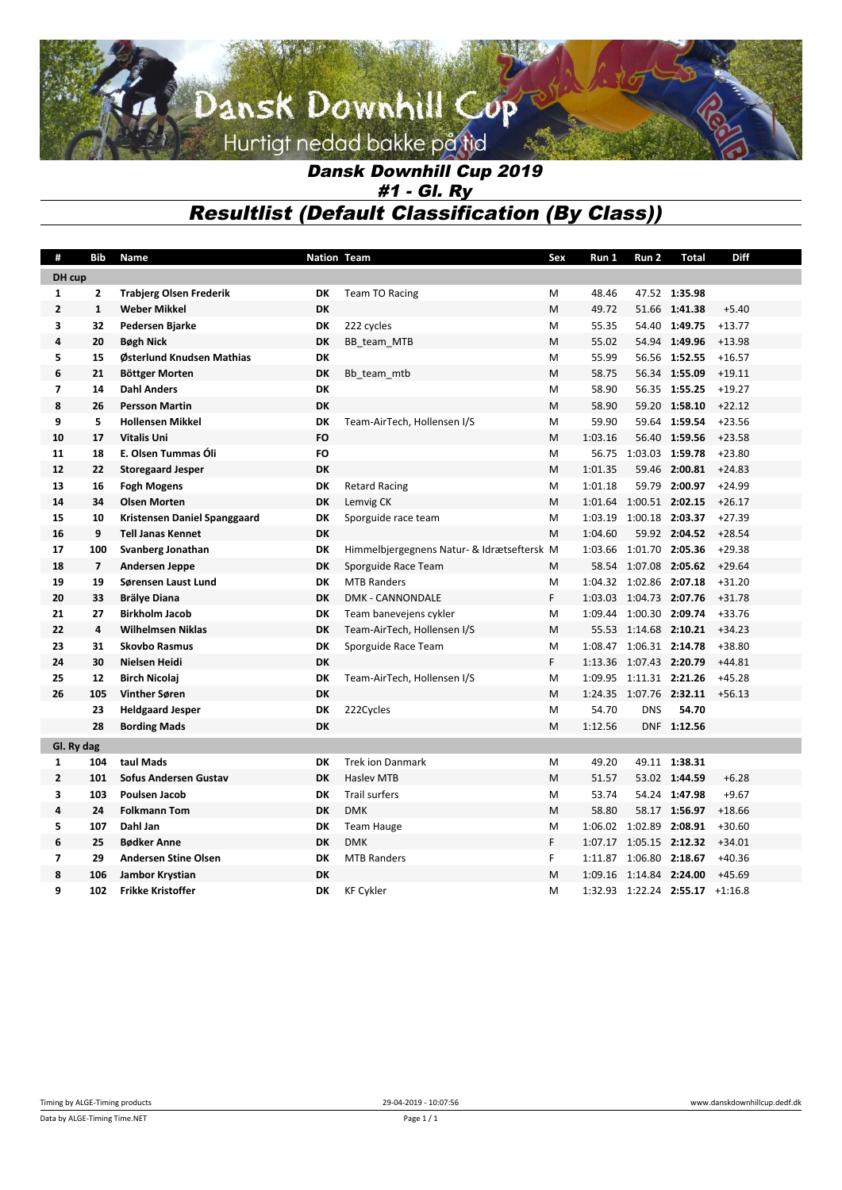## Dansk Downhill Cup Hurtigt nedad bakke på tid

### *Dansk Downhill Cup 2019 #1 - Gl. Ry Resultlist (Default Classification (By Class))*

| #                       | Bib                     | Name                           | <b>Nation Team</b> |                                            | Sex | Run 1   | Run 2                   | Total                                        | <b>Diff</b> |
|-------------------------|-------------------------|--------------------------------|--------------------|--------------------------------------------|-----|---------|-------------------------|----------------------------------------------|-------------|
| DH cup                  |                         |                                |                    |                                            |     |         |                         |                                              |             |
| 1                       | $\mathbf{2}$            | <b>Trabjerg Olsen Frederik</b> | DK                 | <b>Team TO Racing</b>                      | M   | 48.46   |                         | 47.52 1:35.98                                |             |
| $\mathbf{2}$            | $\mathbf{1}$            | <b>Weber Mikkel</b>            | DK                 |                                            | M   | 49.72   |                         | 51.66 1:41.38                                | $+5.40$     |
| 3                       | 32                      | Pedersen Bjarke                | DK                 | 222 cycles                                 | M   | 55.35   |                         | 54.40 1:49.75                                | $+13.77$    |
| 4                       | 20                      | <b>Bøgh Nick</b>               | DK                 | BB team MTB                                | M   | 55.02   |                         | 54.94 1:49.96                                | $+13.98$    |
| 5                       | 15                      | Østerlund Knudsen Mathias      | <b>DK</b>          |                                            | M   | 55.99   |                         | 56.56 1:52.55                                | $+16.57$    |
| 6                       | 21                      | Böttger Morten                 | DK                 | Bb team mtb                                | M   | 58.75   |                         | 56.34 1:55.09                                | $+19.11$    |
| $\overline{\mathbf{z}}$ | 14                      | <b>Dahl Anders</b>             | DK                 |                                            | M   | 58.90   |                         | 56.35 1:55.25                                | $+19.27$    |
| 8                       | 26                      | <b>Persson Martin</b>          | DK                 |                                            | M   | 58.90   |                         | 59.20 1:58.10                                | $+22.12$    |
| 9                       | 5                       | <b>Hollensen Mikkel</b>        | DK                 | Team-AirTech, Hollensen I/S                | M   | 59.90   |                         | 59.64 1:59.54                                | $+23.56$    |
| 10                      | 17                      | <b>Vitalis Uni</b>             | <b>FO</b>          |                                            | M   | 1:03.16 |                         | 56.40 1:59.56                                | $+23.58$    |
| 11                      | 18                      | E. Olsen Tummas Óli            | <b>FO</b>          |                                            | M   | 56.75   | 1:03.03 1:59.78         |                                              | $+23.80$    |
| 12                      | 22                      | <b>Storegaard Jesper</b>       | DK                 |                                            | M   | 1:01.35 |                         | 59.46 2:00.81                                | $+24.83$    |
| 13                      | 16                      | <b>Fogh Mogens</b>             | DK                 | <b>Retard Racing</b>                       | M   | 1:01.18 |                         | 59.79 2:00.97                                | $+24.99$    |
| 14                      | 34                      | <b>Olsen Morten</b>            | DK                 | Lemvig CK                                  | M   |         | 1:01.64 1:00.51 2:02.15 |                                              | $+26.17$    |
| 15                      | 10                      | Kristensen Daniel Spanggaard   | DK                 | Sporguide race team                        | M   | 1:03.19 | 1:00.18 2:03.37         |                                              | $+27.39$    |
| 16                      | 9                       | <b>Tell Janas Kennet</b>       | <b>DK</b>          |                                            | M   | 1:04.60 |                         | 59.92 2:04.52                                | $+28.54$    |
| 17                      | 100                     | Svanberg Jonathan              | DK                 | Himmelbjergegnens Natur- & Idrætseftersk M |     |         | 1:03.66 1:01.70 2:05.36 |                                              | $+29.38$    |
| 18                      | $\overline{\mathbf{z}}$ | Andersen Jeppe                 | DK                 | Sporguide Race Team                        | M   |         | 58.54 1:07.08 2:05.62   |                                              | $+29.64$    |
| 19                      | 19                      | Sørensen Laust Lund            | DK                 | <b>MTB Randers</b>                         | M   |         | 1:04.32 1:02.86 2:07.18 |                                              | $+31.20$    |
| 20                      | 33                      | <b>Brälye Diana</b>            | <b>DK</b>          | <b>DMK - CANNONDALE</b>                    | F   |         | 1:03.03 1:04.73 2:07.76 |                                              | $+31.78$    |
| 21                      | 27                      | <b>Birkholm Jacob</b>          | DK                 | Team banevejens cykler                     | M   |         | 1:09.44 1:00.30 2:09.74 |                                              | $+33.76$    |
| 22                      | 4                       | <b>Wilhelmsen Niklas</b>       | DK                 | Team-AirTech, Hollensen I/S                | M   |         | 55.53 1:14.68 2:10.21   |                                              | $+34.23$    |
| 23                      | 31                      | <b>Skovbo Rasmus</b>           | DK                 | Sporguide Race Team                        | M   | 1:08.47 | 1:06.31 2:14.78         |                                              | $+38.80$    |
| 24                      | 30                      | Nielsen Heidi                  | DK                 |                                            | F   |         | 1:13.36 1:07.43 2:20.79 |                                              | $+44.81$    |
| 25                      | 12                      | <b>Birch Nicolaj</b>           | DK                 | Team-AirTech, Hollensen I/S                | M   |         | 1:09.95 1:11.31 2:21.26 |                                              | $+45.28$    |
| 26                      | 105                     | Vinther Søren                  | <b>DK</b>          |                                            | M   |         | 1:24.35 1:07.76 2:32.11 |                                              | $+56.13$    |
|                         | 23                      | <b>Heldgaard Jesper</b>        | DK                 | 222Cycles                                  | M   | 54.70   | <b>DNS</b>              | 54.70                                        |             |
|                         | 28                      | <b>Bording Mads</b>            | DK                 |                                            | M   | 1:12.56 |                         | DNF 1:12.56                                  |             |
| Gl. Ry dag              |                         |                                |                    |                                            |     |         |                         |                                              |             |
| $\mathbf{1}$            | 104                     | taul Mads                      | DK                 | <b>Trek ion Danmark</b>                    | M   | 49.20   |                         | 49.11 1:38.31                                |             |
| $\overline{2}$          | 101                     | <b>Sofus Andersen Gustav</b>   | DK                 | <b>Hasley MTB</b>                          | M   | 51.57   |                         | 53.02 1:44.59                                | $+6.28$     |
| 3                       | 103                     | Poulsen Jacob                  | DK                 | <b>Trail surfers</b>                       | M   | 53.74   |                         | 54.24 1:47.98                                | $+9.67$     |
| 4                       | 24                      | <b>Folkmann Tom</b>            | DK                 | <b>DMK</b>                                 | M   | 58.80   |                         | 58.17 1:56.97                                | $+18.66$    |
| 5                       | 107                     | Dahl Jan                       | DK                 | <b>Team Hauge</b>                          | M   |         | 1:06.02 1:02.89 2:08.91 |                                              | $+30.60$    |
| 6                       | 25                      | <b>Bødker Anne</b>             | DK                 | <b>DMK</b>                                 | F   | 1:07.17 | 1:05.15 2:12.32         |                                              | $+34.01$    |
| $\overline{\mathbf{z}}$ | 29                      | <b>Andersen Stine Olsen</b>    | DK                 | <b>MTB Randers</b>                         | F   |         | 1:11.87 1:06.80 2:18.67 |                                              | $+40.36$    |
| 8                       | 106                     | Jambor Krystian                | <b>DK</b>          |                                            | M   | 1:09.16 | 1:14.84 2:24.00         |                                              | $+45.69$    |
| 9                       | 102                     | <b>Frikke Kristoffer</b>       | DK                 | <b>KF Cykler</b>                           | M   |         |                         | $1:32.93$ $1:22.24$ <b>2:55.17</b> $+1:16.8$ |             |